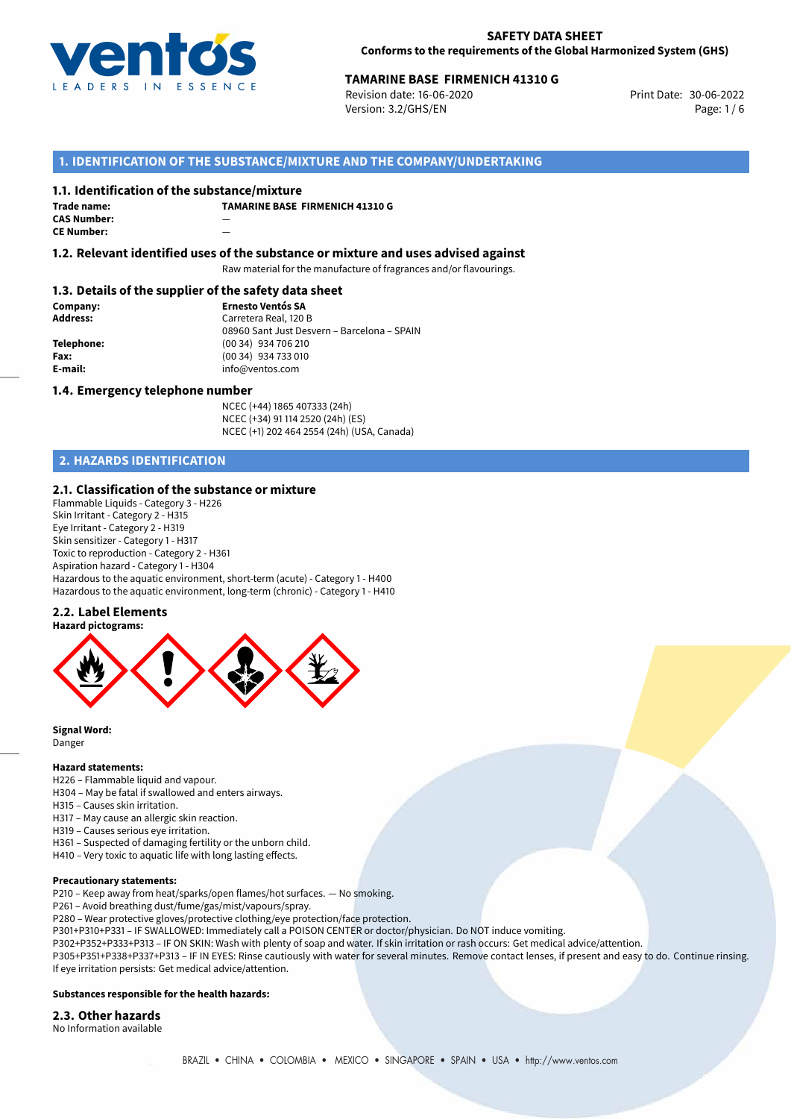

## **TAMARINE BASE FIRMENICH 41310 G**<br>Revision date: 16-06-2020 **Print Date: 30-06-2022**

Revision date: 16-06-2020 Version: 3.2/GHS/EN Page: 1 / 6

## **1. IDENTIFICATION OF THE SUBSTANCE/MIXTURE AND THE COMPANY/UNDERTAKING**

#### **1.1. Identification of the substance/mixture**

| Trade name:        | T/ |
|--------------------|----|
| <b>CAS Number:</b> |    |
| <b>CE Number:</b>  |    |

**TAMARINE BASE FIRMENICH 41310 G**

**1.2. Relevant identified uses of the substance or mixture and uses advised against**

Raw material for the manufacture of fragrances and/or flavourings.

## **1.3. Details of the supplier of the safety data sheet**

**Company: Ernesto Ventós SA Address:** Carretera Real, 120 B 08960 Sant Just Desvern – Barcelona – SPAIN **Telephone:** (00 34) 934 706 210 **Fax:** (00 34) 934 733 010<br> **E-mail:** example the info@ventos.com **E-mail:** info@ventos.com

### **1.4. Emergency telephone number**

NCEC (+44) 1865 407333 (24h) NCEC (+34) 91 114 2520 (24h) (ES) NCEC (+1) 202 464 2554 (24h) (USA, Canada)

## **2. HAZARDS IDENTIFICATION**

## **2.1. Classification of the substance or mixture**

Flammable Liquids - Category 3 - H226 Skin Irritant - Category 2 - H315 Eye Irritant - Category 2 - H319 Skin sensitizer - Category 1 - H317 Toxic to reproduction - Category 2 - H361 Aspiration hazard - Category 1 - H304 Hazardous to the aquatic environment, short-term (acute) - Category 1 - H400 Hazardous to the aquatic environment, long-term (chronic) - Category 1 - H410

## **2.2. Label Elements**



**Signal Word:** Danger

#### **Hazard statements:**

- H226 Flammable liquid and vapour.
- H304 May be fatal if swallowed and enters airways.
- H315 Causes skin irritation.
- H317 May cause an allergic skin reaction.
- H319 Causes serious eye irritation.
- H361 Suspected of damaging fertility or the unborn child.
- H410 Very toxic to aquatic life with long lasting effects.

#### **Precautionary statements:**

P210 – Keep away from heat/sparks/open flames/hot surfaces. — No smoking.

P261 – Avoid breathing dust/fume/gas/mist/vapours/spray.

P280 – Wear protective gloves/protective clothing/eye protection/face protection.

P301+P310+P331 – IF SWALLOWED: Immediately call a POISON CENTER or doctor/physician. Do NOT induce vomiting.

P302+P352+P333+P313 – IF ON SKIN: Wash with plenty of soap and water. If skin irritation or rash occurs: Get medical advice/attention.

P305+P351+P338+P337+P313 – IF IN EYES: Rinse cautiously with water for several minutes. Remove contact lenses, if present and easy to do. Continue rinsing. If eye irritation persists: Get medical advice/attention.

#### **Substances responsible for the health hazards:**

#### **2.3. Other hazards**

No Information available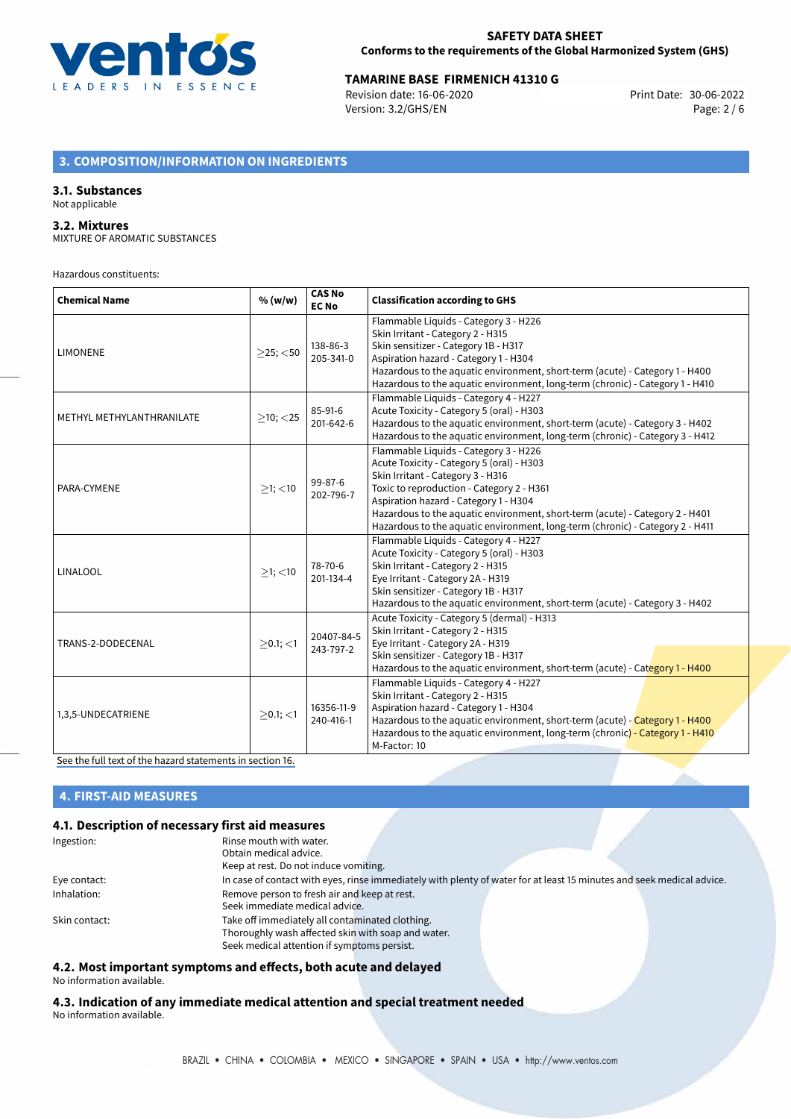

## **TAMARINE BASE FIRMENICH 41310 G**<br>Revision date: 16-06-2020 **Print Date: 30-06-2022**

Revision date: 16-06-2020 Version: 3.2/GHS/EN Page: 2 / 6

## **3. COMPOSITION/INFORMATION ON INGREDIENTS**

## **3.1. Substances**

#### Not applicable

## **3.2. Mixtures**

MIXTURE OF AROMATIC SUBSTANCES

Hazardous constituents:

| <b>Chemical Name</b>      | % (w/w)        | <b>CAS No</b><br><b>EC No</b> | <b>Classification according to GHS</b>                                                                                                                                                                                                                                                                                                                                         |  |
|---------------------------|----------------|-------------------------------|--------------------------------------------------------------------------------------------------------------------------------------------------------------------------------------------------------------------------------------------------------------------------------------------------------------------------------------------------------------------------------|--|
| <b>LIMONENE</b>           | $>25$ ; $<$ 50 | 138-86-3<br>205-341-0         | Flammable Liquids - Category 3 - H226<br>Skin Irritant - Category 2 - H315<br>Skin sensitizer - Category 1B - H317<br>Aspiration hazard - Category 1 - H304<br>Hazardous to the aquatic environment, short-term (acute) - Category 1 - H400<br>Hazardous to the aquatic environment, long-term (chronic) - Category 1 - H410                                                   |  |
| METHYL METHYLANTHRANILATE | $>10$ ; $<$ 25 | $85-91-6$<br>201-642-6        | Flammable Liquids - Category 4 - H227<br>Acute Toxicity - Category 5 (oral) - H303<br>Hazardous to the aquatic environment, short-term (acute) - Category 3 - H402<br>Hazardous to the aquatic environment, long-term (chronic) - Category 3 - H412                                                                                                                            |  |
| PARA-CYMENE               | $>1$ ; <10     | 99-87-6<br>202-796-7          | Flammable Liquids - Category 3 - H226<br>Acute Toxicity - Category 5 (oral) - H303<br>Skin Irritant - Category 3 - H316<br>Toxic to reproduction - Category 2 - H361<br>Aspiration hazard - Category 1 - H304<br>Hazardous to the aquatic environment, short-term (acute) - Category 2 - H401<br>Hazardous to the aquatic environment, long-term (chronic) - Category 2 - H411 |  |
| LINALOOL                  | $>1$ ; $<$ 10  | 78-70-6<br>201-134-4          | Flammable Liquids - Category 4 - H227<br>Acute Toxicity - Category 5 (oral) - H303<br>Skin Irritant - Category 2 - H315<br>Eye Irritant - Category 2A - H319<br>Skin sensitizer - Category 1B - H317<br>Hazardous to the aquatic environment, short-term (acute) - Category 3 - H402                                                                                           |  |
| TRANS-2-DODECENAL         | $>0.1$ ; $<$ 1 | 20407-84-5<br>243-797-2       | Acute Toxicity - Category 5 (dermal) - H313<br>Skin Irritant - Category 2 - H315<br>Eye Irritant - Category 2A - H319<br>Skin sensitizer - Category 1B - H317<br>Hazardous to the aquatic environment, short-term (acute) - Category 1 - H400                                                                                                                                  |  |
| 1,3,5-UNDECATRIENE        | $>0.1;$ <1     | 16356-11-9<br>240-416-1       | Flammable Liquids - Category 4 - H227<br>Skin Irritant - Category 2 - H315<br>Aspiration hazard - Category 1 - H304<br>Hazardous to the aquatic environment, short-term (acute) - Category 1 - H400<br>Hazardous to the aquatic environment, long-term (chronic) - Category 1 - H410<br>M-Factor: 10                                                                           |  |

[See the full text of the hazard statements in section 16.](#page-4-0)

## **4. FIRST-AID MEASURES**

## **4.1. Description of necessary first aid measures**

| Ingestion:    | Rinse mouth with water.                                                                                               |
|---------------|-----------------------------------------------------------------------------------------------------------------------|
|               | Obtain medical advice.                                                                                                |
|               | Keep at rest. Do not induce vomiting.                                                                                 |
| Eye contact:  | In case of contact with eyes, rinse immediately with plenty of water for at least 15 minutes and seek medical advice. |
| Inhalation:   | Remove person to fresh air and keep at rest.                                                                          |
|               | Seek immediate medical advice.                                                                                        |
| Skin contact: | Take off immediately all contaminated clothing.                                                                       |
|               | Thoroughly wash affected skin with soap and water.                                                                    |
|               | Seek medical attention if symptoms persist.                                                                           |

## **4.2. Most important symptoms and effects, both acute and delayed**

No information available.

**4.3. Indication of any immediate medical attention and special treatment needed** No information available.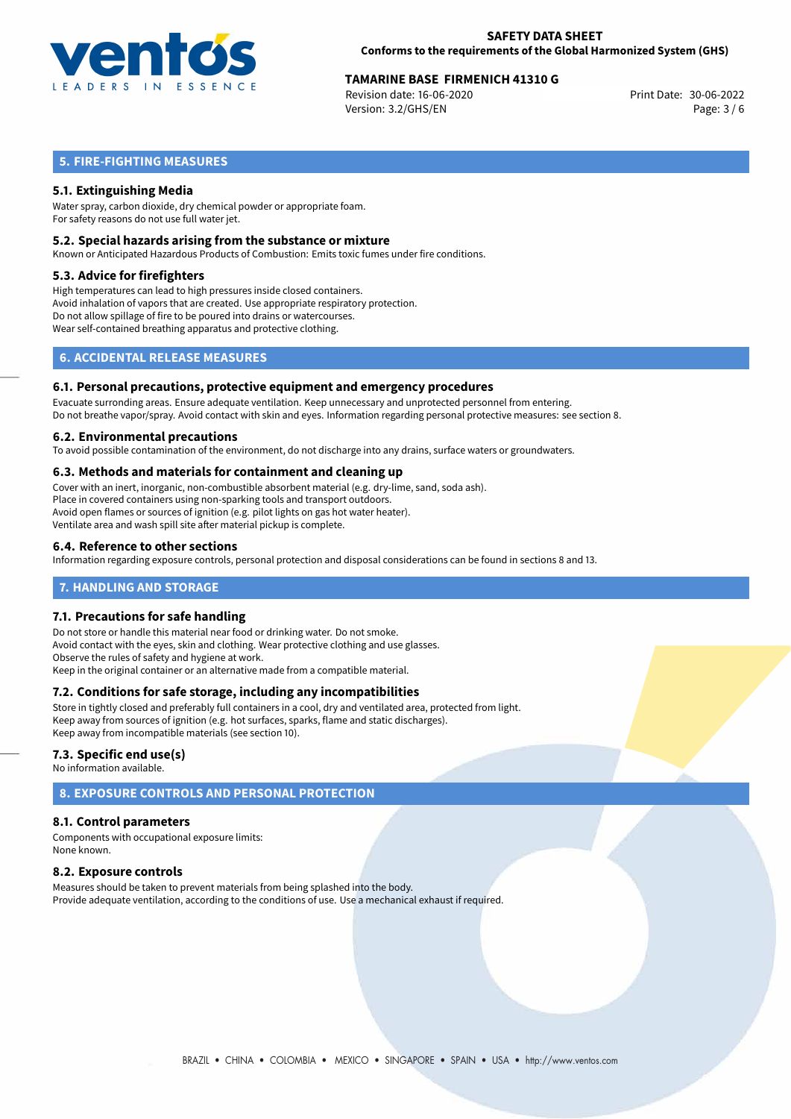

## **TAMARINE BASE FIRMENICH 41310 G**<br>Revision date: 16-06-2020 **Print Date: 30-06-2022**

Revision date: 16-06-2020 Version: 3.2/GHS/EN Page: 3 / 6

## **5. FIRE-FIGHTING MEASURES**

## **5.1. Extinguishing Media**

Water spray, carbon dioxide, dry chemical powder or appropriate foam. For safety reasons do not use full water jet.

## **5.2. Special hazards arising from the substance or mixture**

Known or Anticipated Hazardous Products of Combustion: Emits toxic fumes under fire conditions.

### **5.3. Advice for firefighters**

High temperatures can lead to high pressures inside closed containers. Avoid inhalation of vapors that are created. Use appropriate respiratory protection. Do not allow spillage of fire to be poured into drains or watercourses. Wear self-contained breathing apparatus and protective clothing.

## **6. ACCIDENTAL RELEASE MEASURES**

### **6.1. Personal precautions, protective equipment and emergency procedures**

Evacuate surronding areas. Ensure adequate ventilation. Keep unnecessary and unprotected personnel from entering. Do not breathe vapor/spray. Avoid contact with skin and eyes. Information regarding personal protective measures: see section 8.

### **6.2. Environmental precautions**

To avoid possible contamination of the environment, do not discharge into any drains, surface waters or groundwaters.

## **6.3. Methods and materials for containment and cleaning up**

Cover with an inert, inorganic, non-combustible absorbent material (e.g. dry-lime, sand, soda ash). Place in covered containers using non-sparking tools and transport outdoors. Avoid open flames or sources of ignition (e.g. pilot lights on gas hot water heater). Ventilate area and wash spill site after material pickup is complete.

## **6.4. Reference to other sections**

Information regarding exposure controls, personal protection and disposal considerations can be found in sections 8 and 13.

## **7. HANDLING AND STORAGE**

## **7.1. Precautions for safe handling**

Do not store or handle this material near food or drinking water. Do not smoke. Avoid contact with the eyes, skin and clothing. Wear protective clothing and use glasses. Observe the rules of safety and hygiene at work. Keep in the original container or an alternative made from a compatible material.

## **7.2. Conditions for safe storage, including any incompatibilities**

Store in tightly closed and preferably full containers in a cool, dry and ventilated area, protected from light. Keep away from sources of ignition (e.g. hot surfaces, sparks, flame and static discharges). Keep away from incompatible materials (see section 10).

## **7.3. Specific end use(s)**

No information available.

## **8. EXPOSURE CONTROLS AND PERSONAL PROTECTION**

## **8.1. Control parameters**

Components with occupational exposure limits: None known.

## **8.2. Exposure controls**

Measures should be taken to prevent materials from being splashed into the body. Provide adequate ventilation, according to the conditions of use. Use a mechanical exhaust if required.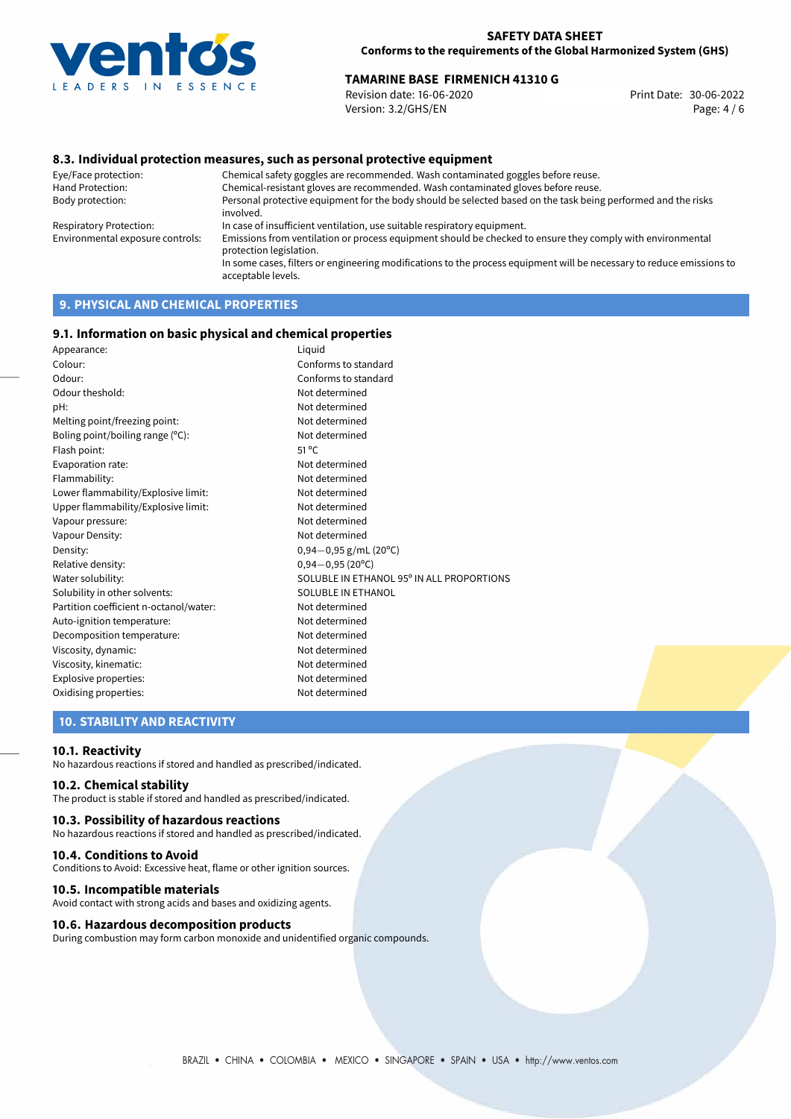

## **TAMARINE BASE FIRMENICH 41310 G**<br>Revision date: 16-06-2020 **Print Date: 30-06-2022**

Revision date: 16-06-2020 Version: 3.2/GHS/EN Page: 4 / 6

## **8.3. Individual protection measures, such as personal protective equipment**

Eye/Face protection: Chemical safety goggles are recommended. Wash contaminated goggles before reuse. Chemical-resistant gloves are recommended. Wash contaminated gloves before reuse. Body protection: Personal protective equipment for the body should be selected based on the task being performed and the risks involved. Respiratory Protection: In case of insufficient ventilation, use suitable respiratory equipment. Environmental exposure controls: Emissions from ventilation or process equipment should be checked to ensure they comply with environmental protection legislation. In some cases, filters or engineering modifications to the process equipment will be necessary to reduce emissions to acceptable levels.

## **9. PHYSICAL AND CHEMICAL PROPERTIES**

### **9.1. Information on basic physical and chemical properties**

| Appearance:                            | Liquid                                    |
|----------------------------------------|-------------------------------------------|
| Colour:                                | Conforms to standard                      |
| Odour:                                 | Conforms to standard                      |
| Odour theshold:                        | Not determined                            |
| pH:                                    | Not determined                            |
| Melting point/freezing point:          | Not determined                            |
| Boling point/boiling range $(°C)$ :    | Not determined                            |
| Flash point:                           | $51^{\circ}$ C                            |
| Evaporation rate:                      | Not determined                            |
| Flammability:                          | Not determined                            |
| Lower flammability/Explosive limit:    | Not determined                            |
| Upper flammability/Explosive limit:    | Not determined                            |
| Vapour pressure:                       | Not determined                            |
| Vapour Density:                        | Not determined                            |
| Density:                               | $0,94-0,95$ g/mL (20°C)                   |
| Relative density:                      | $0,94 - 0,95(20^{\circ}C)$                |
| Water solubility:                      | SOLUBLE IN ETHANOL 95° IN ALL PROPORTIONS |
| Solubility in other solvents:          | SOLUBLE IN ETHANOL                        |
| Partition coefficient n-octanol/water: | Not determined                            |
| Auto-ignition temperature:             | Not determined                            |
| Decomposition temperature:             | Not determined                            |
| Viscosity, dynamic:                    | Not determined                            |
| Viscosity, kinematic:                  | Not determined                            |
| Explosive properties:                  | Not determined                            |
| Oxidising properties:                  | Not determined                            |

## **10. STABILITY AND REACTIVITY**

#### **10.1. Reactivity**

No hazardous reactions if stored and handled as prescribed/indicated.

## **10.2. Chemical stability**

The product is stable if stored and handled as prescribed/indicated.

## **10.3. Possibility of hazardous reactions**

No hazardous reactions if stored and handled as prescribed/indicated.

#### **10.4. Conditions to Avoid**

Conditions to Avoid: Excessive heat, flame or other ignition sources.

#### **10.5. Incompatible materials**

Avoid contact with strong acids and bases and oxidizing agents.

## **10.6. Hazardous decomposition products**

During combustion may form carbon monoxide and unidentified organic compounds.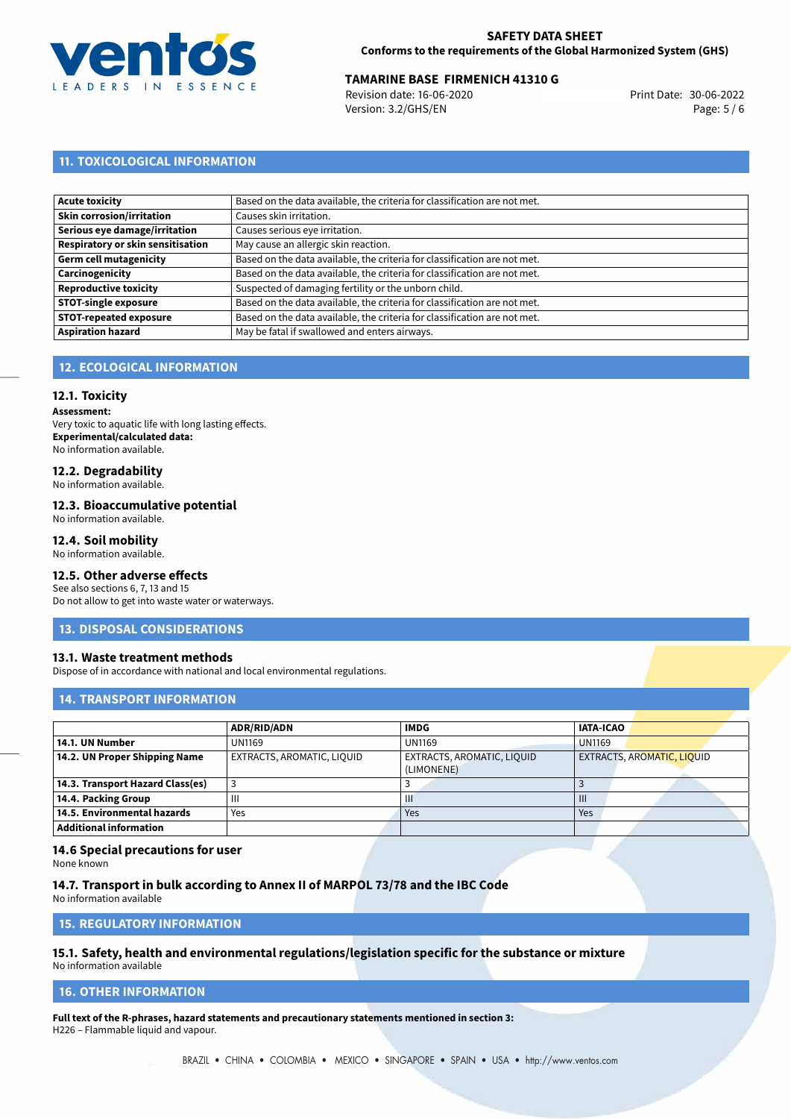

## **TAMARINE BASE FIRMENICH 41310 G**<br>Revision date: 16-06-2020 **Print Date: 30-06-2022**

Revision date: 16-06-2020 Version: 3.2/GHS/EN Page: 5 / 6

## **11. TOXICOLOGICAL INFORMATION**

| Acute toxicity                           | Based on the data available, the criteria for classification are not met. |
|------------------------------------------|---------------------------------------------------------------------------|
| Skin corrosion/irritation                | Causes skin irritation.                                                   |
| Serious eye damage/irritation            | Causes serious eye irritation.                                            |
| <b>Respiratory or skin sensitisation</b> | May cause an allergic skin reaction.                                      |
| Germ cell mutagenicity                   | Based on the data available, the criteria for classification are not met. |
| <b>Carcinogenicity</b>                   | Based on the data available, the criteria for classification are not met. |
| Reproductive toxicity                    | Suspected of damaging fertility or the unborn child.                      |
| <b>STOT-single exposure</b>              | Based on the data available, the criteria for classification are not met. |
| <b>STOT-repeated exposure</b>            | Based on the data available, the criteria for classification are not met. |
| <b>Aspiration hazard</b>                 | May be fatal if swallowed and enters airways.                             |

## **12. ECOLOGICAL INFORMATION**

### **12.1. Toxicity**

**Assessment:** Very toxic to aquatic life with long lasting effects. **Experimental/calculated data:** No information available.

## **12.2. Degradability**

No information available.

#### **12.3. Bioaccumulative potential**

No information available.

### **12.4. Soil mobility**

No information available.

## **12.5. Other adverse effects**

See also sections 6, 7, 13 and 15 Do not allow to get into waste water or waterways.

#### **13. DISPOSAL CONSIDERATIONS**

#### **13.1. Waste treatment methods**

Dispose of in accordance with national and local environmental regulations.

## **14. TRANSPORT INFORMATION**

|                                  | <b>ADR/RID/ADN</b>         | <b>IMDG</b>                              | <b>IATA-ICAO</b>                  |
|----------------------------------|----------------------------|------------------------------------------|-----------------------------------|
| 14.1. UN Number                  | <b>UN1169</b>              | <b>UN1169</b>                            | <b>UN1169</b>                     |
| 14.2. UN Proper Shipping Name    | EXTRACTS, AROMATIC, LIQUID | EXTRACTS, AROMATIC, LIQUID<br>(LIMONENE) | <b>EXTRACTS, AROMATIC, LIQUID</b> |
| 14.3. Transport Hazard Class(es) |                            |                                          |                                   |
| 14.4. Packing Group              | Ш                          | Ш                                        | $\mathbf{III}$                    |
| 14.5. Environmental hazards      | Yes                        | Yes                                      | Yes                               |
| <b>Additional information</b>    |                            |                                          |                                   |

## **14.6 Special precautions for user**

None known

**14.7. Transport in bulk according to Annex II of MARPOL 73/78 and the IBC Code** No information available

**15. REGULATORY INFORMATION**

## **15.1. Safety, health and environmental regulations/legislation specific for the substance or mixture**

No information available

## <span id="page-4-0"></span>**16. OTHER INFORMATION**

**Full text of the R-phrases, hazard statements and precautionary statements mentioned in section 3:** H226 – Flammable liquid and vapour.